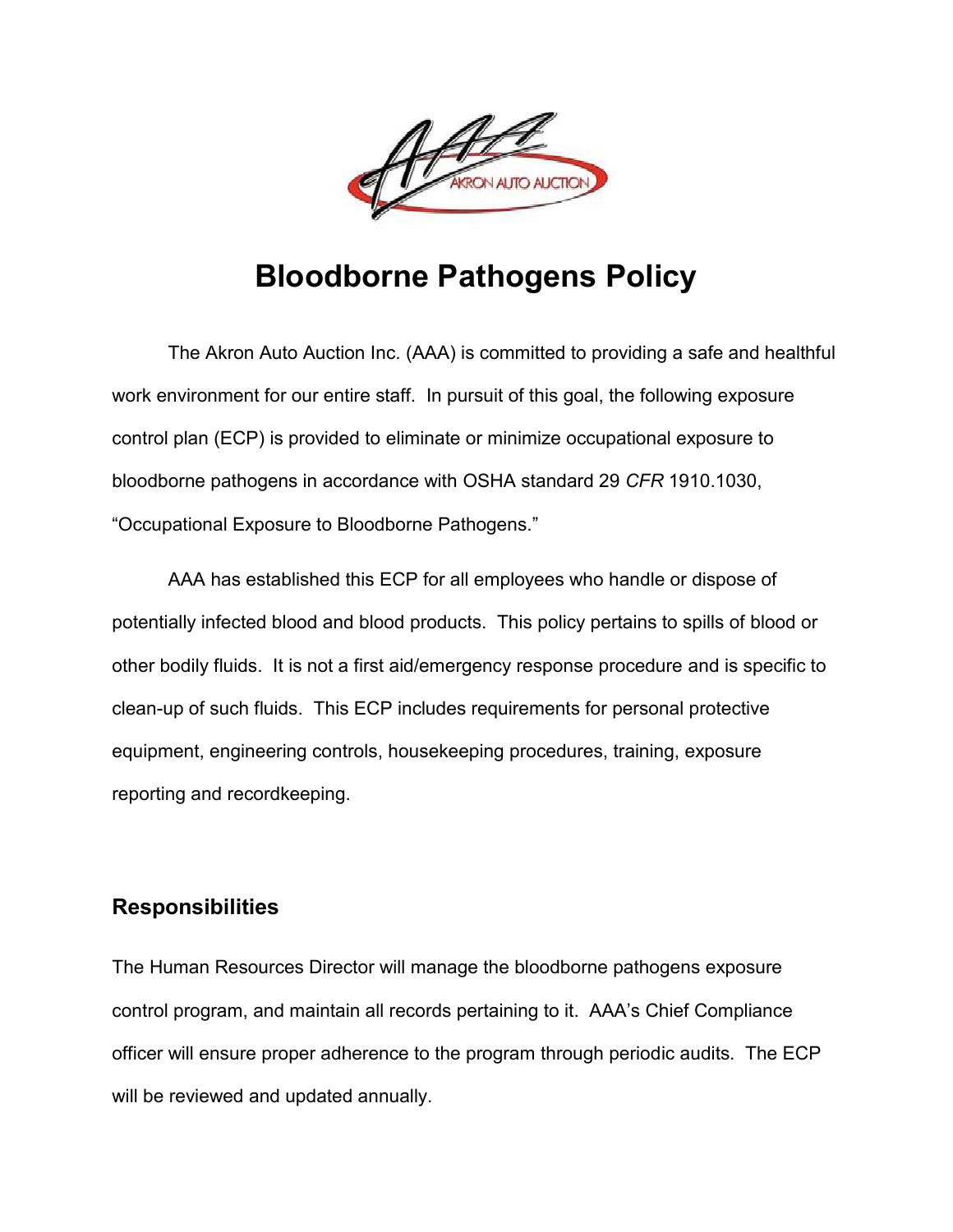

# **Bloodborne Pathogens Policy**

The Akron Auto Auction Inc. (AAA) is committed to providing a safe and healthful work environment for our entire staff. In pursuit of this goal, the following exposure control plan (ECP) is provided to eliminate or minimize occupational exposure to bloodborne pathogens in accordance with OSHA standard 29 *CFR* 1910.1030, "Occupational Exposure to Bloodborne Pathogens."

AAA has established this ECP for all employees who handle or dispose of potentially infected blood and blood products. This policy pertains to spills of blood or other bodily fluids. It is not a first aid/emergency response procedure and is specific to clean-up of such fluids. This ECP includes requirements for personal protective equipment, engineering controls, housekeeping procedures, training, exposure reporting and recordkeeping.

## **Responsibilities**

The Human Resources Director will manage the bloodborne pathogens exposure control program, and maintain all records pertaining to it. AAA's Chief Compliance officer will ensure proper adherence to the program through periodic audits. The ECP will be reviewed and updated annually.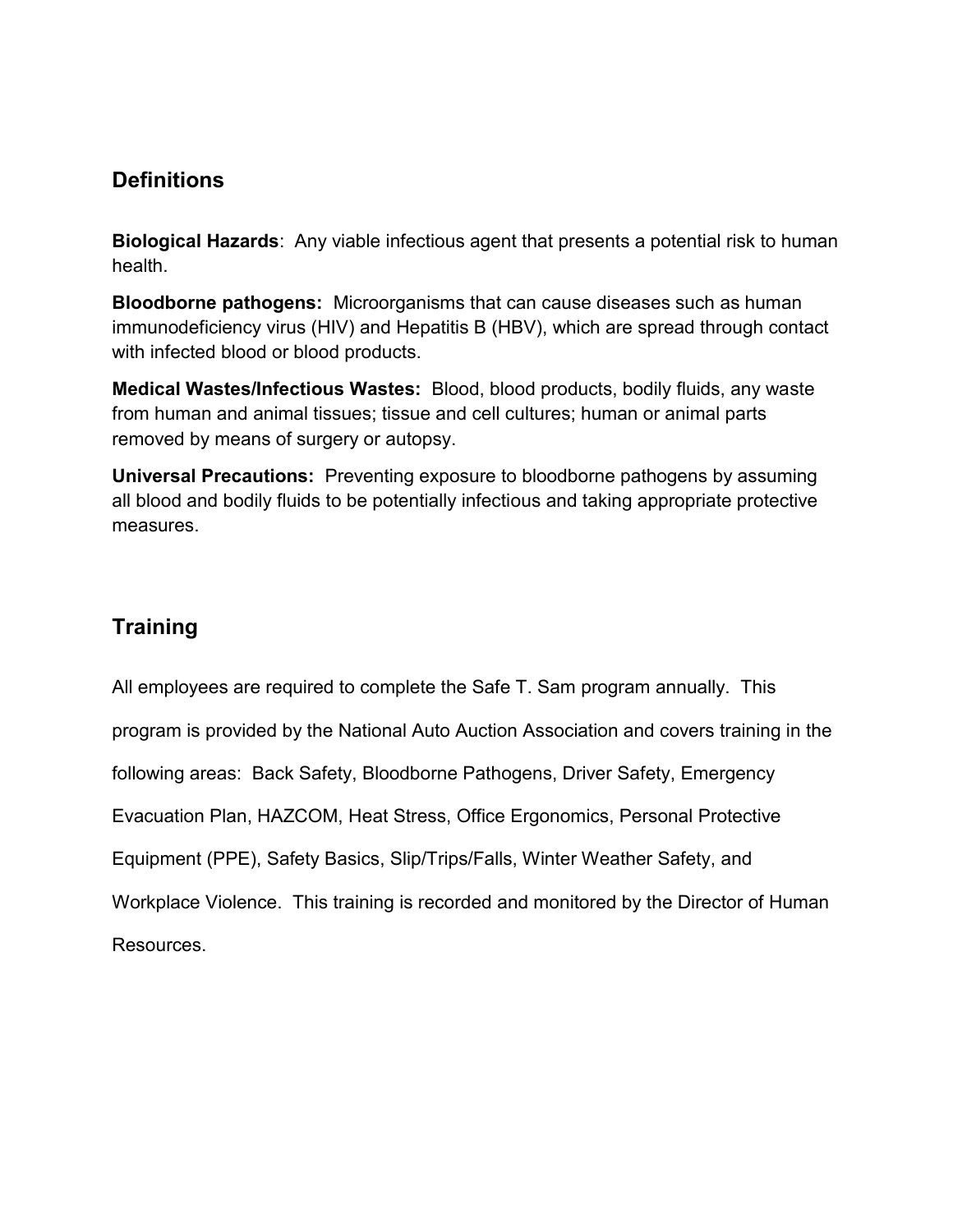# **Definitions**

**Biological Hazards**: Any viable infectious agent that presents a potential risk to human health.

**Bloodborne pathogens:** Microorganisms that can cause diseases such as human immunodeficiency virus (HIV) and Hepatitis B (HBV), which are spread through contact with infected blood or blood products.

**Medical Wastes/Infectious Wastes:** Blood, blood products, bodily fluids, any waste from human and animal tissues; tissue and cell cultures; human or animal parts removed by means of surgery or autopsy.

**Universal Precautions:** Preventing exposure to bloodborne pathogens by assuming all blood and bodily fluids to be potentially infectious and taking appropriate protective measures.

# **Training**

All employees are required to complete the Safe T. Sam program annually. This program is provided by the National Auto Auction Association and covers training in the following areas: Back Safety, Bloodborne Pathogens, Driver Safety, Emergency Evacuation Plan, HAZCOM, Heat Stress, Office Ergonomics, Personal Protective Equipment (PPE), Safety Basics, Slip/Trips/Falls, Winter Weather Safety, and Workplace Violence. This training is recorded and monitored by the Director of Human Resources.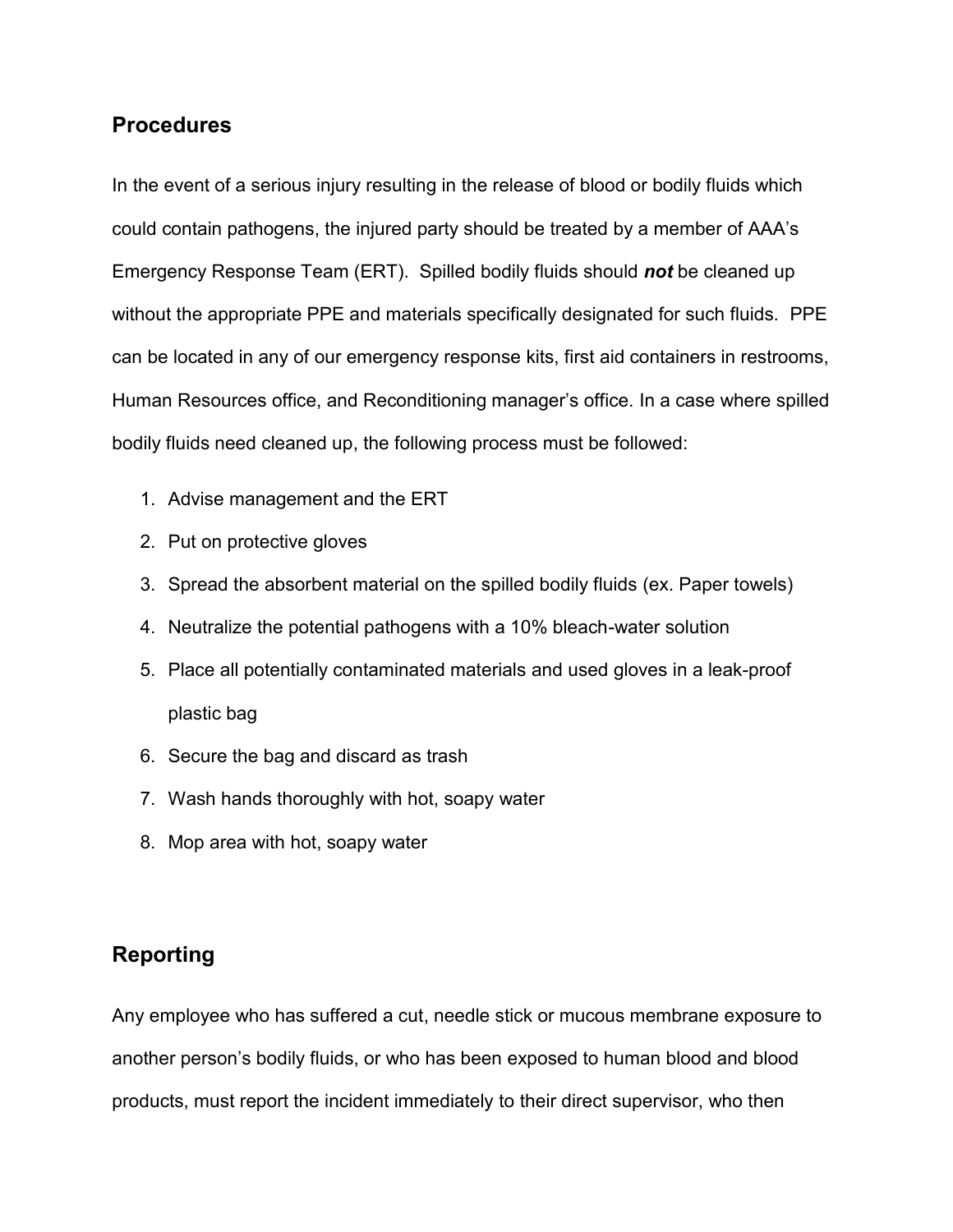#### **Procedures**

In the event of a serious injury resulting in the release of blood or bodily fluids which could contain pathogens, the injured party should be treated by a member of AAA's Emergency Response Team (ERT). Spilled bodily fluids should *not* be cleaned up without the appropriate PPE and materials specifically designated for such fluids. PPE can be located in any of our emergency response kits, first aid containers in restrooms, Human Resources office, and Reconditioning manager's office. In a case where spilled bodily fluids need cleaned up, the following process must be followed:

- 1. Advise management and the ERT
- 2. Put on protective gloves
- 3. Spread the absorbent material on the spilled bodily fluids (ex. Paper towels)
- 4. Neutralize the potential pathogens with a 10% bleach-water solution
- 5. Place all potentially contaminated materials and used gloves in a leak-proof plastic bag
- 6. Secure the bag and discard as trash
- 7. Wash hands thoroughly with hot, soapy water
- 8. Mop area with hot, soapy water

## **Reporting**

Any employee who has suffered a cut, needle stick or mucous membrane exposure to another person's bodily fluids, or who has been exposed to human blood and blood products, must report the incident immediately to their direct supervisor, who then